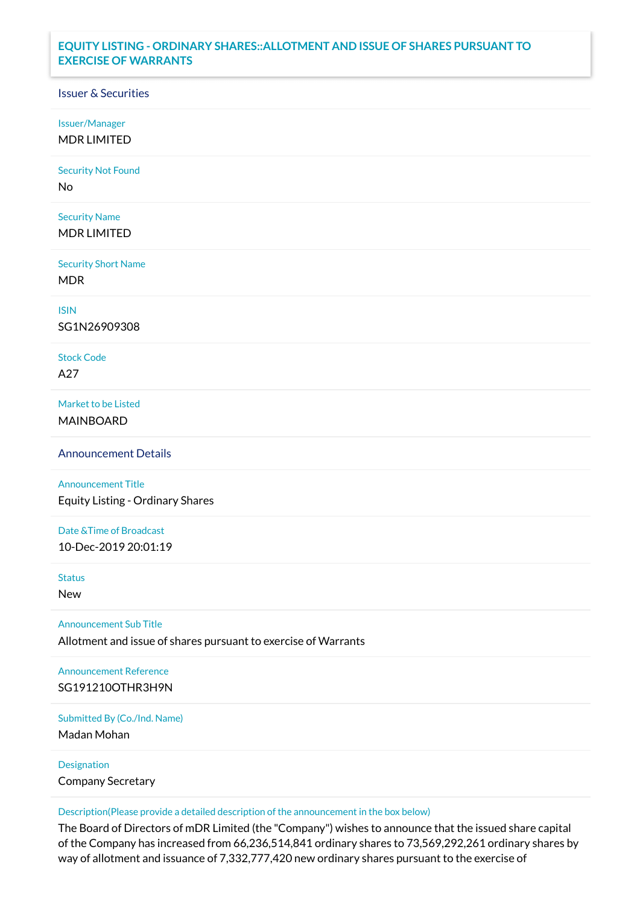## **EQUITY LISTING - ORDINARY SHARES::ALLOTMENT AND ISSUE OF SHARES PURSUANT TO EXERCISE OF WARRANTS**

## Issuer & Securities

Issuer/Manager

MDR LIMITED

Security Not Found

No

Security Name MDR LIMITED

Security Short Name MDR

ISIN

SG1N26909308

Stock Code A27

Market to be Listed MAINBOARD

Announcement Details

Announcement Title Equity Listing - Ordinary Shares

Date &Time of Broadcast 10-Dec-2019 20:01:19

Status

New

Announcement Sub Title

Allotment and issue of shares pursuant to exercise of Warrants

Announcement Reference SG191210OTHR3H9N

Submitted By (Co./Ind. Name)

Madan Mohan

Designation Company Secretary

Description(Please provide a detailed description of the announcement in the box below)

The Board of Directors of mDR Limited (the "Company") wishes to announce that the issued share capital of the Company has increased from 66,236,514,841 ordinary shares to 73,569,292,261 ordinary shares by way of allotment and issuance of 7,332,777,420 new ordinary shares pursuant to the exercise of